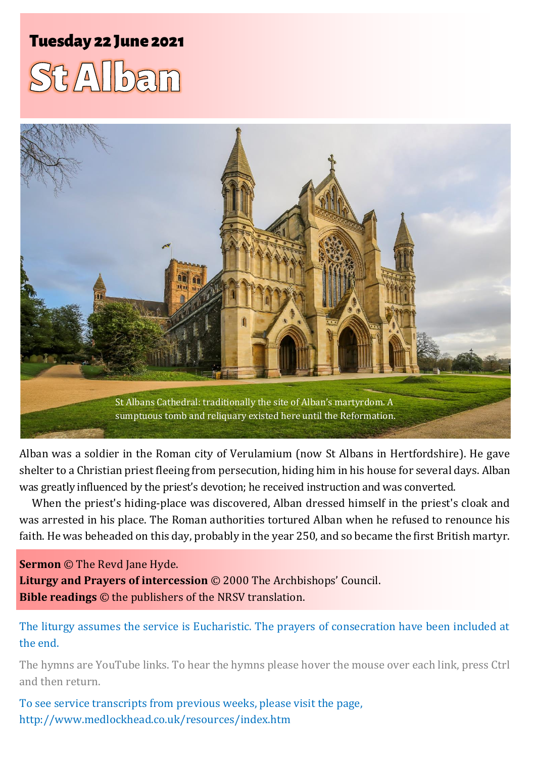# **Tuesday 22 June 2021**





Alban was a soldier in the Roman city of Verulamium (now St Albans in Hertfordshire). He gave shelter to a Christian priest fleeing from persecution, hiding him in his house for several days. Alban was greatly influenced by the priest's devotion; he received instruction and was converted.

When the priest's hiding-place was discovered, Alban dressed himself in the priest's cloak and was arrested in his place. The Roman authorities tortured Alban when he refused to renounce his faith. He was beheaded on this day, probably in the year 250, and so became the first British martyr.

**Sermon** © The Revd Jane Hyde. **Liturgy and Prayers of intercession** © 2000 The Archbishops' Council. **Bible readings** © the publishers of the NRSV translation.

The liturgy assumes the service is Eucharistic. The prayers of consecration have been included at the end.

The hymns are YouTube links. To hear the hymns please hover the mouse over each link, press Ctrl and then return.

To see service transcripts from previous weeks, please visit the page, <http://www.medlockhead.co.uk/resources/index.htm>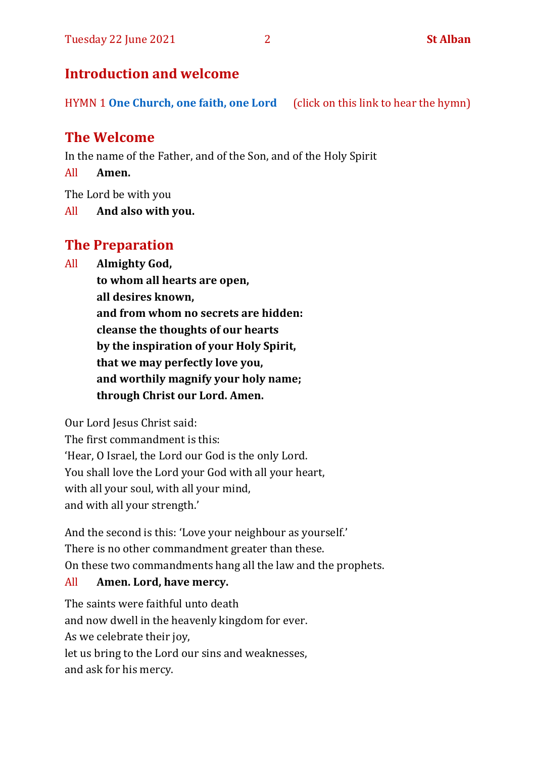# **Introduction and welcome**

HYMN 1 **[One Church, one faith, one Lord](https://www.youtube.com/watch?v=esJ7WWqG-dI&t=28s)** (click on this link to hear the hymn)

# **The Welcome**

In the name of the Father, and of the Son, and of the Holy Spirit

All **Amen.**

The Lord be with you

All **And also with you.**

# **The Preparation**

All **Almighty God,**

**to whom all hearts are open, all desires known, and from whom no secrets are hidden: cleanse the thoughts of our hearts by the inspiration of your Holy Spirit, that we may perfectly love you, and worthily magnify your holy name; through Christ our Lord. Amen.**

Our Lord Jesus Christ said:

The first commandment is this: 'Hear, O Israel, the Lord our God is the only Lord. You shall love the Lord your God with all your heart, with all your soul, with all your mind, and with all your strength.'

And the second is this: 'Love your neighbour as yourself.' There is no other commandment greater than these. On these two commandments hang all the law and the prophets.

### All **Amen. Lord, have mercy.**

The saints were faithful unto death and now dwell in the heavenly kingdom for ever. As we celebrate their joy, let us bring to the Lord our sins and weaknesses, and ask for his mercy.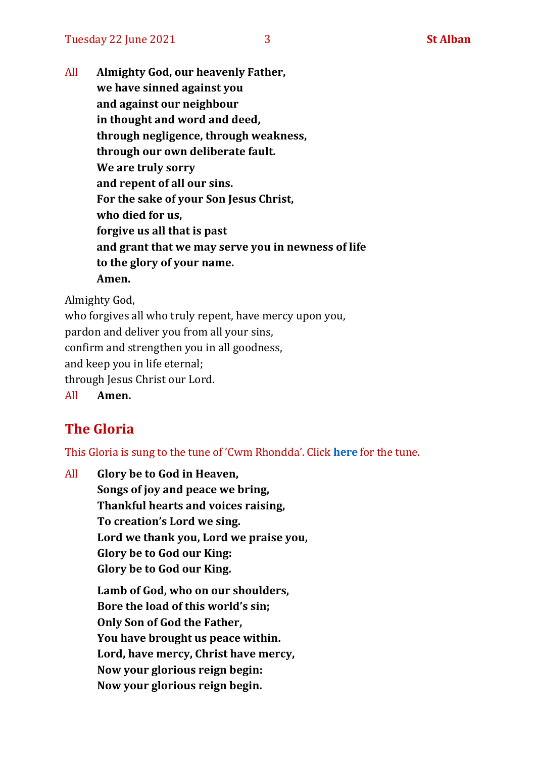All **Almighty God, our heavenly Father, we have sinned against you and against our neighbour in thought and word and deed, through negligence, through weakness, through our own deliberate fault. We are truly sorry and repent of all our sins. For the sake of your Son Jesus Christ, who died for us, forgive us all that is past and grant that we may serve you in newness of life to the glory of your name. Amen.**

Almighty God,

who forgives all who truly repent, have mercy upon you, pardon and deliver you from all your sins, confirm and strengthen you in all goodness, and keep you in life eternal; through Jesus Christ our Lord. All **Amen.**

# **The Gloria**

This Gloria is sung to the tune of 'Cwm Rhondda'. Click **[here](https://www.youtube.com/watch?v=l71MLQ22dIk)** for the tune.

All **Glory be to God in Heaven, Songs of joy and peace we bring, Thankful hearts and voices raising, To creation's Lord we sing. Lord we thank you, Lord we praise you, Glory be to God our King: Glory be to God our King. Lamb of God, who on our shoulders, Bore the load of this world's sin; Only Son of God the Father, You have brought us peace within. Lord, have mercy, Christ have mercy, Now your glorious reign begin: Now your glorious reign begin.**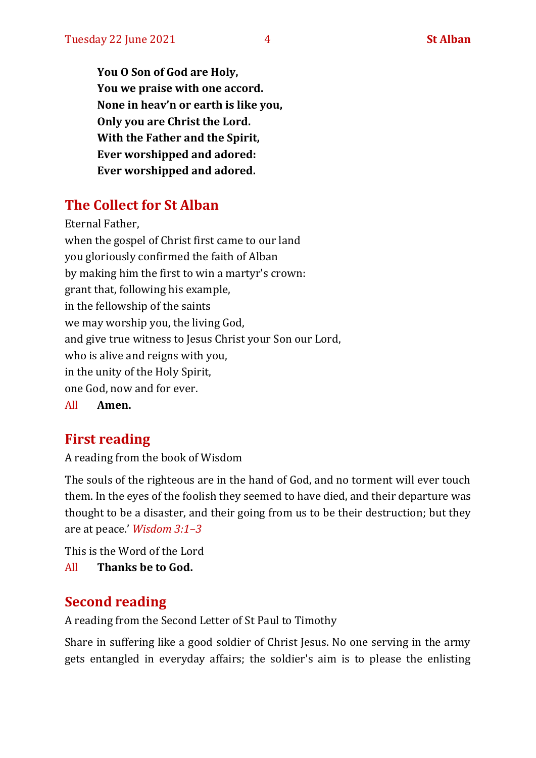**You O Son of God are Holy, You we praise with one accord. None in heav'n or earth is like you, Only you are Christ the Lord. With the Father and the Spirit, Ever worshipped and adored: Ever worshipped and adored.**

# **The Collect for St Alban**

Eternal Father, when the gospel of Christ first came to our land you gloriously confirmed the faith of Alban by making him the first to win a martyr's crown: grant that, following his example, in the fellowship of the saints we may worship you, the living God, and give true witness to Jesus Christ your Son our Lord, who is alive and reigns with you, in the unity of the Holy Spirit, one God, now and for ever.

All **Amen.**

# **First reading**

A reading from the book of Wisdom

The souls of the righteous are in the hand of God, and no torment will ever touch them. In the eyes of the foolish they seemed to have died, and their departure was thought to be a disaster, and their going from us to be their destruction; but they are at peace.' *Wisdom 3:1–3* 

This is the Word of the Lord All **Thanks be to God.**

# **Second reading**

A reading from the Second Letter of St Paul to Timothy

Share in suffering like a good soldier of Christ Jesus. No one serving in the army gets entangled in everyday affairs; the soldier's aim is to please the enlisting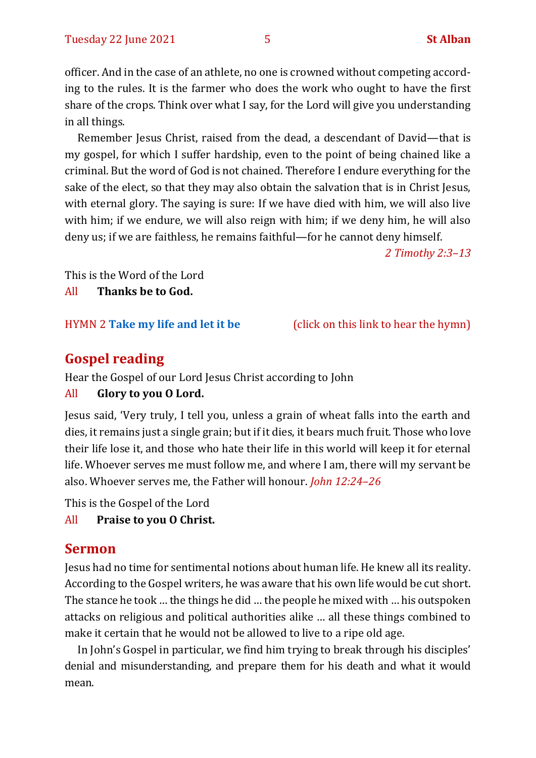officer. And in the case of an athlete, no one is crowned without competing according to the rules. It is the farmer who does the work who ought to have the first share of the crops. Think over what I say, for the Lord will give you understanding in all things.

Remember Jesus Christ, raised from the dead, a descendant of David—that is my gospel, for which I suffer hardship, even to the point of being chained like a criminal. But the word of God is not chained. Therefore I endure everything for the sake of the elect, so that they may also obtain the salvation that is in Christ Jesus, with eternal glory. The saying is sure: If we have died with him, we will also live with him; if we endure, we will also reign with him; if we deny him, he will also deny us; if we are faithless, he remains faithful—for he cannot deny himself.

*2 Timothy 2:3–13*

This is the Word of the Lord

All **Thanks be to God.**

HYMN 2 **[Take my life and let it](https://www.youtube.com/watch?v=Gf11rReeWIs) be** (click on this link to hear the hymn)

# **Gospel reading**

Hear the Gospel of our Lord Jesus Christ according to John

#### All **Glory to you O Lord.**

Jesus said, 'Very truly, I tell you, unless a grain of wheat falls into the earth and dies, it remains just a single grain; but if it dies, it bears much fruit. Those who love their life lose it, and those who hate their life in this world will keep it for eternal life. Whoever serves me must follow me, and where I am, there will my servant be also. Whoever serves me, the Father will honour. *John 12:24–26*

This is the Gospel of the Lord

#### All **Praise to you O Christ.**

# **Sermon**

Jesus had no time for sentimental notions about human life. He knew all its reality. According to the Gospel writers, he was aware that his own life would be cut short. The stance he took … the things he did … the people he mixed with … his outspoken attacks on religious and political authorities alike … all these things combined to make it certain that he would not be allowed to live to a ripe old age.

In John's Gospel in particular, we find him trying to break through his disciples' denial and misunderstanding, and prepare them for his death and what it would mean.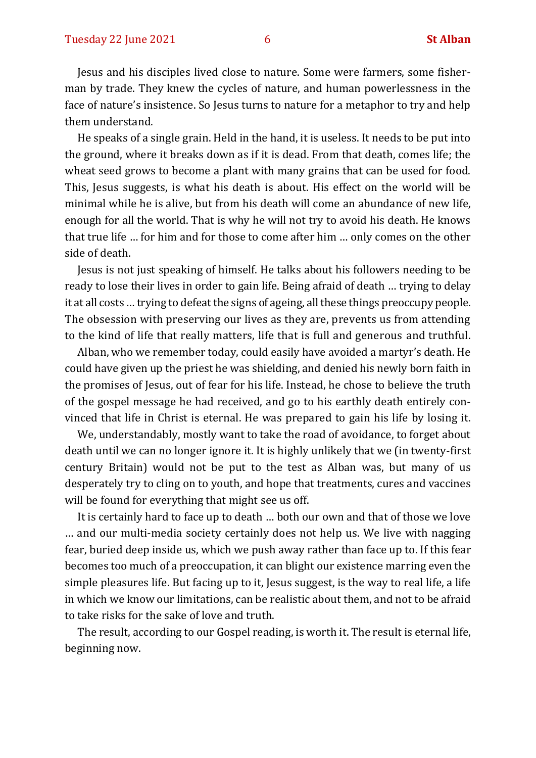Jesus and his disciples lived close to nature. Some were farmers, some fisherman by trade. They knew the cycles of nature, and human powerlessness in the face of nature's insistence. So Jesus turns to nature for a metaphor to try and help them understand.

He speaks of a single grain. Held in the hand, it is useless. It needs to be put into the ground, where it breaks down as if it is dead. From that death, comes life; the wheat seed grows to become a plant with many grains that can be used for food. This, Jesus suggests, is what his death is about. His effect on the world will be minimal while he is alive, but from his death will come an abundance of new life, enough for all the world. That is why he will not try to avoid his death. He knows that true life … for him and for those to come after him … only comes on the other side of death.

Jesus is not just speaking of himself. He talks about his followers needing to be ready to lose their lives in order to gain life. Being afraid of death … trying to delay it at all costs … trying to defeat the signs of ageing, all these things preoccupy people. The obsession with preserving our lives as they are, prevents us from attending to the kind of life that really matters, life that is full and generous and truthful.

Alban, who we remember today, could easily have avoided a martyr's death. He could have given up the priest he was shielding, and denied his newly born faith in the promises of Jesus, out of fear for his life. Instead, he chose to believe the truth of the gospel message he had received, and go to his earthly death entirely convinced that life in Christ is eternal. He was prepared to gain his life by losing it.

We, understandably, mostly want to take the road of avoidance, to forget about death until we can no longer ignore it. It is highly unlikely that we (in twenty-first century Britain) would not be put to the test as Alban was, but many of us desperately try to cling on to youth, and hope that treatments, cures and vaccines will be found for everything that might see us off.

It is certainly hard to face up to death … both our own and that of those we love … and our multi-media society certainly does not help us. We live with nagging fear, buried deep inside us, which we push away rather than face up to. If this fear becomes too much of a preoccupation, it can blight our existence marring even the simple pleasures life. But facing up to it, Jesus suggest, is the way to real life, a life in which we know our limitations, can be realistic about them, and not to be afraid to take risks for the sake of love and truth.

The result, according to our Gospel reading, is worth it. The result is eternal life, beginning now.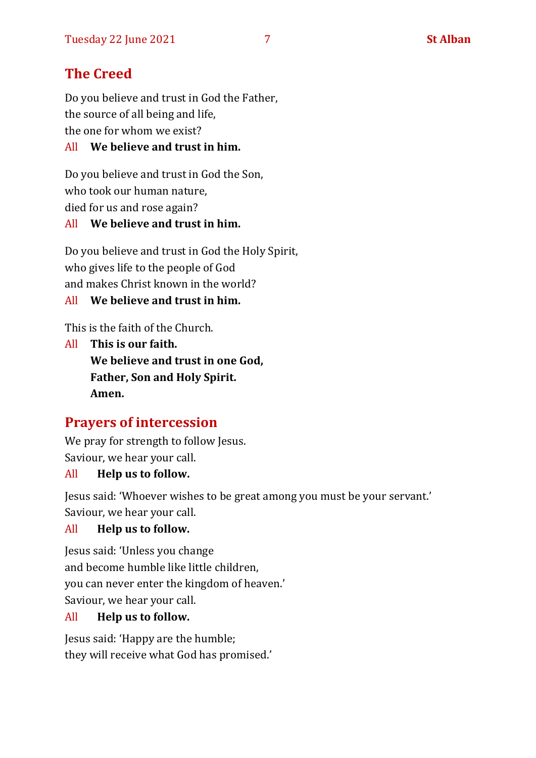# **The Creed**

Do you believe and trust in God the Father, the source of all being and life, the one for whom we exist?

#### All **We believe and trust in him.**

Do you believe and trust in God the Son, who took our human nature, died for us and rose again? All **We believe and trust in him.**

Do you believe and trust in God the Holy Spirit, who gives life to the people of God and makes Christ known in the world?

All **We believe and trust in him.**

This is the faith of the Church.

All **This is our faith. We believe and trust in one God, Father, Son and Holy Spirit. Amen.**

# **Prayers of intercession**

We pray for strength to follow Jesus. Saviour, we hear your call.

#### All **Help us to follow.**

Jesus said: 'Whoever wishes to be great among you must be your servant.' Saviour, we hear your call.

#### All **Help us to follow.**

Jesus said: 'Unless you change and become humble like little children, you can never enter the kingdom of heaven.' Saviour, we hear your call.

#### All **Help us to follow.**

Jesus said: 'Happy are the humble; they will receive what God has promised.'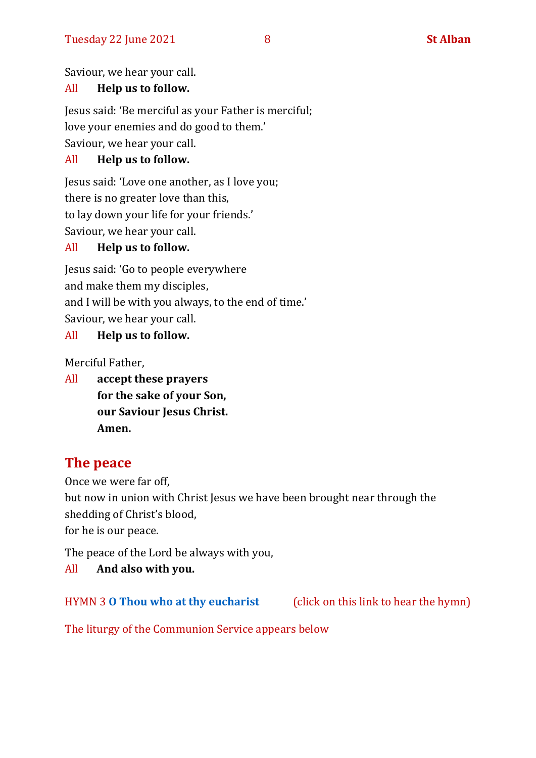Saviour, we hear your call.

#### All **Help us to follow.**

Jesus said: 'Be merciful as your Father is merciful; love your enemies and do good to them.' Saviour, we hear your call.

#### All **Help us to follow.**

Jesus said: 'Love one another, as I love you; there is no greater love than this, to lay down your life for your friends.' Saviour, we hear your call.

#### All **Help us to follow.**

Jesus said: 'Go to people everywhere and make them my disciples, and I will be with you always, to the end of time.' Saviour, we hear your call.

#### All **Help us to follow.**

Merciful Father,

All **accept these prayers for the sake of your Son, our Saviour Jesus Christ. Amen.**

# **The peace**

Once we were far off, but now in union with Christ Jesus we have been brought near through the shedding of Christ's blood,

for he is our peace.

The peace of the Lord be always with you,

All **And also with you.**

HYMN 3 **[O Thou who at thy eucharist](https://www.youtube.com/watch?v=u4FERL8Xeno)** (click on this link to hear the hymn)

The liturgy of the Communion Service appears below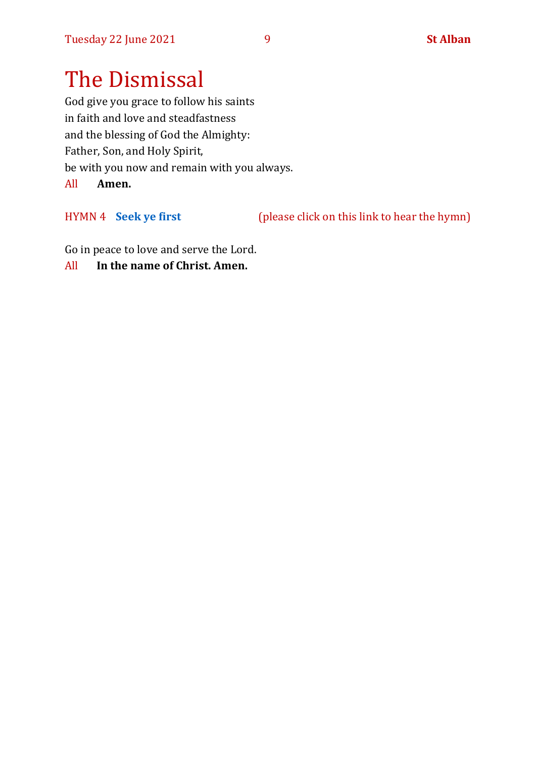# The Dismissal

God give you grace to follow his saints in faith and love and steadfastness and the blessing of God the Almighty: Father, Son, and Holy Spirit, be with you now and remain with you always. All **Amen.**

HYMN 4 **[Seek ye first](https://www.youtube.com/watch?v=94I07YCeqBs)** (please click on this link to hear the hymn)

Go in peace to love and serve the Lord.

All **In the name of Christ. Amen.**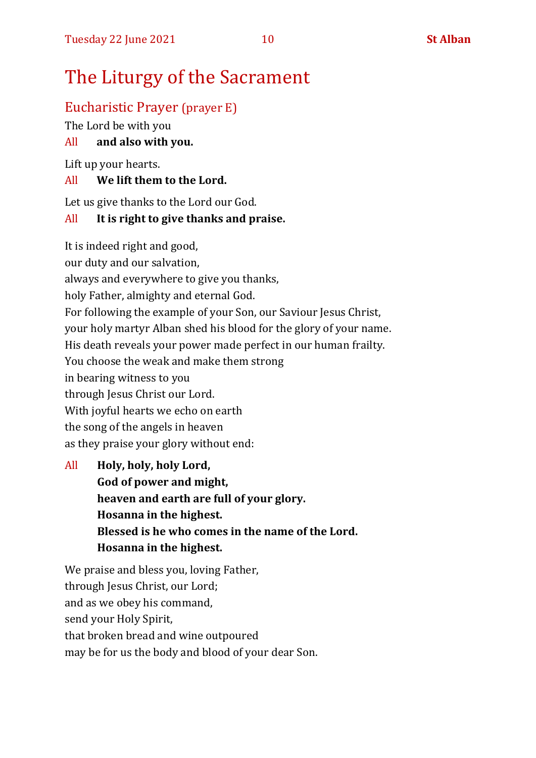# The Liturgy of the Sacrament

# Eucharistic Prayer (prayer E)

The Lord be with you

## All **and also with you.**

Lift up your hearts.

### All **We lift them to the Lord.**

Let us give thanks to the Lord our God.

## All **It is right to give thanks and praise.**

It is indeed right and good,

our duty and our salvation,

always and everywhere to give you thanks,

holy Father, almighty and eternal God.

For following the example of your Son, our Saviour Jesus Christ,

your holy martyr Alban shed his blood for the glory of your name.

His death reveals your power made perfect in our human frailty.

You choose the weak and make them strong

in bearing witness to you

through Jesus Christ our Lord.

With joyful hearts we echo on earth

the song of the angels in heaven

as they praise your glory without end:

All **Holy, holy, holy Lord, God of power and might, heaven and earth are full of your glory. Hosanna in the highest. Blessed is he who comes in the name of the Lord. Hosanna in the highest.**

We praise and bless you, loving Father, through Jesus Christ, our Lord; and as we obey his command, send your Holy Spirit, that broken bread and wine outpoured may be for us the body and blood of your dear Son.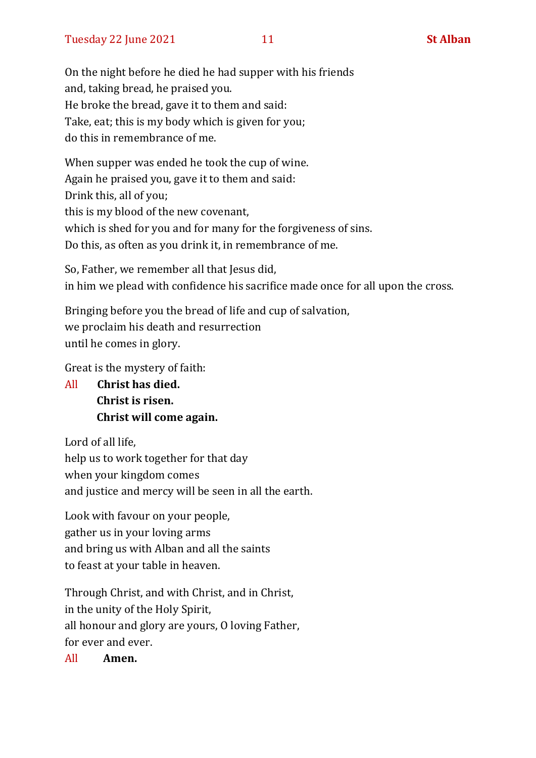On the night before he died he had supper with his friends and, taking bread, he praised you. He broke the bread, gave it to them and said: Take, eat; this is my body which is given for you; do this in remembrance of me.

When supper was ended he took the cup of wine. Again he praised you, gave it to them and said: Drink this, all of you; this is my blood of the new covenant, which is shed for you and for many for the forgiveness of sins. Do this, as often as you drink it, in remembrance of me.

So, Father, we remember all that Jesus did, in him we plead with confidence his sacrifice made once for all upon the cross.

Bringing before you the bread of life and cup of salvation, we proclaim his death and resurrection until he comes in glory.

Great is the mystery of faith:

All **Christ has died. Christ is risen. Christ will come again.**

Lord of all life, help us to work together for that day when your kingdom comes and justice and mercy will be seen in all the earth.

Look with favour on your people, gather us in your loving arms and bring us with Alban and all the saints to feast at your table in heaven.

Through Christ, and with Christ, and in Christ, in the unity of the Holy Spirit, all honour and glory are yours, O loving Father, for ever and ever.

All **Amen.**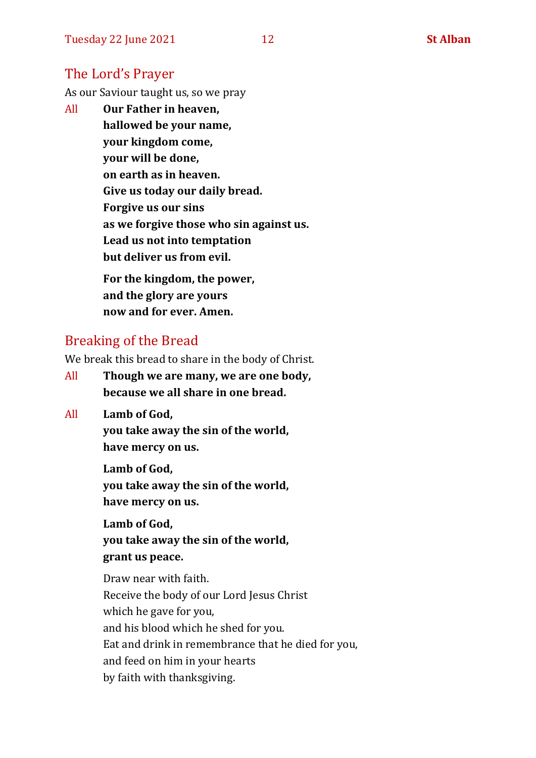# The Lord's Prayer

As our Saviour taught us, so we pray

All **Our Father in heaven, hallowed be your name, your kingdom come, your will be done, on earth as in heaven. Give us today our daily bread. Forgive us our sins as we forgive those who sin against us. Lead us not into temptation but deliver us from evil. For the kingdom, the power,** 

**and the glory are yours now and for ever. Amen.**

# Breaking of the Bread

We break this bread to share in the body of Christ.

- All **Though we are many, we are one body, because we all share in one bread.**
- All **Lamb of God,**

**you take away the sin of the world, have mercy on us.**

**Lamb of God, you take away the sin of the world, have mercy on us.**

**Lamb of God, you take away the sin of the world, grant us peace.**

Draw near with faith. Receive the body of our Lord Jesus Christ which he gave for you, and his blood which he shed for you. Eat and drink in remembrance that he died for you, and feed on him in your hearts by faith with thanksgiving.